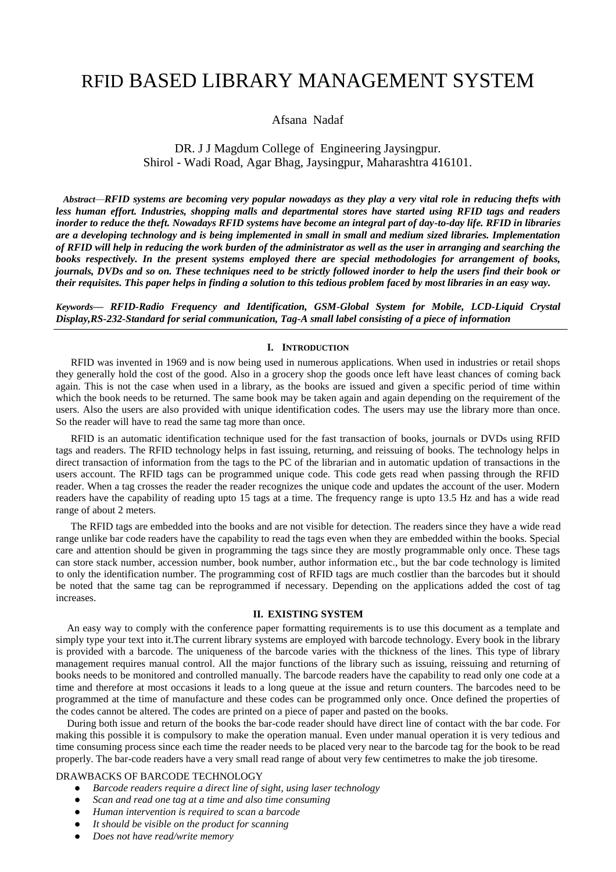# RFID BASED LIBRARY MANAGEMENT SYSTEM

# Afsana Nadaf

# DR. J J Magdum College of Engineering Jaysingpur. Shirol - Wadi Road, Agar Bhag, Jaysingpur, Maharashtra 416101.

*Abstract—RFID systems are becoming very popular nowadays as they play a very vital role in reducing thefts with less human effort. Industries, shopping malls and departmental stores have started using RFID tags and readers inorder to reduce the theft. Nowadays RFID systems have become an integral part of day-to-day life. RFID in libraries are a developing technology and is being implemented in small in small and medium sized libraries. Implementation of RFID will help in reducing the work burden of the administrator as well as the user in arranging and searching the books respectively. In the present systems employed there are special methodologies for arrangement of books, journals, DVDs and so on. These techniques need to be strictly followed inorder to help the users find their book or their requisites. This paper helps in finding a solution to this tedious problem faced by most libraries in an easy way.*

*Keywords— RFID-Radio Frequency and Identification, GSM-Global System for Mobile, LCD-Liquid Crystal Display,RS-232-Standard for serial communication, Tag-A small label consisting of a piece of information*

#### **I. INTRODUCTION**

RFID was invented in 1969 and is now being used in numerous applications. When used in industries or retail shops they generally hold the cost of the good. Also in a grocery shop the goods once left have least chances of coming back again. This is not the case when used in a library, as the books are issued and given a specific period of time within which the book needs to be returned. The same book may be taken again and again depending on the requirement of the users. Also the users are also provided with unique identification codes. The users may use the library more than once. So the reader will have to read the same tag more than once.

RFID is an automatic identification technique used for the fast transaction of books, journals or DVDs using RFID tags and readers. The RFID technology helps in fast issuing, returning, and reissuing of books. The technology helps in direct transaction of information from the tags to the PC of the librarian and in automatic updation of transactions in the users account. The RFID tags can be programmed unique code. This code gets read when passing through the RFID reader. When a tag crosses the reader the reader recognizes the unique code and updates the account of the user. Modern readers have the capability of reading upto 15 tags at a time. The frequency range is upto 13.5 Hz and has a wide read range of about 2 meters.

The RFID tags are embedded into the books and are not visible for detection. The readers since they have a wide read range unlike bar code readers have the capability to read the tags even when they are embedded within the books. Special care and attention should be given in programming the tags since they are mostly programmable only once. These tags can store stack number, accession number, book number, author information etc., but the bar code technology is limited to only the identification number. The programming cost of RFID tags are much costlier than the barcodes but it should be noted that the same tag can be reprogrammed if necessary. Depending on the applications added the cost of tag increases.

#### **II. EXISTING SYSTEM**

An easy way to comply with the conference paper formatting requirements is to use this document as a template and simply type your text into it.The current library systems are employed with barcode technology. Every book in the library is provided with a barcode. The uniqueness of the barcode varies with the thickness of the lines. This type of library management requires manual control. All the major functions of the library such as issuing, reissuing and returning of books needs to be monitored and controlled manually. The barcode readers have the capability to read only one code at a time and therefore at most occasions it leads to a long queue at the issue and return counters. The barcodes need to be programmed at the time of manufacture and these codes can be programmed only once. Once defined the properties of the codes cannot be altered. The codes are printed on a piece of paper and pasted on the books.

During both issue and return of the books the bar-code reader should have direct line of contact with the bar code. For making this possible it is compulsory to make the operation manual. Even under manual operation it is very tedious and time consuming process since each time the reader needs to be placed very near to the barcode tag for the book to be read properly. The bar-code readers have a very small read range of about very few centimetres to make the job tiresome.

#### DRAWBACKS OF BARCODE TECHNOLOGY

- *Barcode readers require a direct line of sight, using laser technology*
- *Scan and read one tag at a time and also time consuming*
- *Human intervention is required to scan a barcode*
- *It should be visible on the product for scanning*
- *Does not have read/write memory*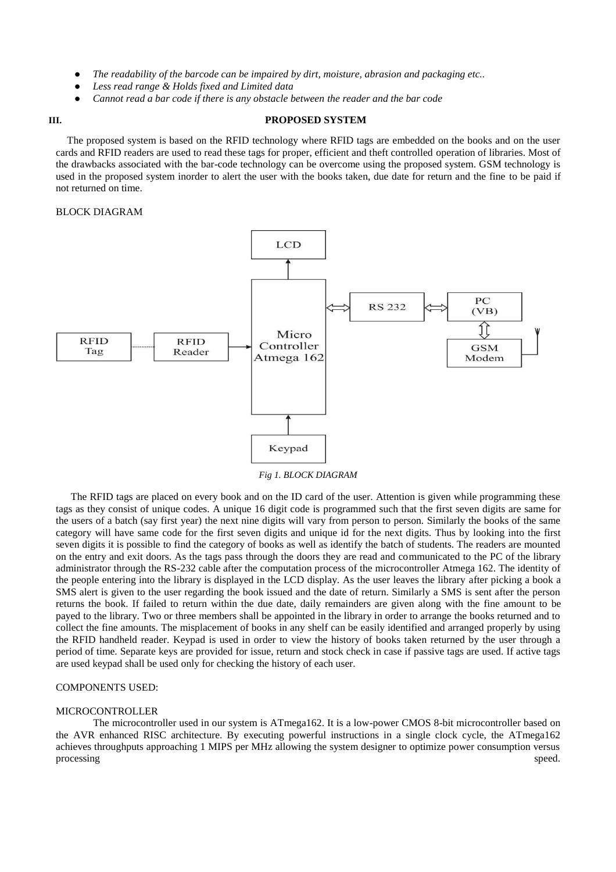- The readability of the barcode can be impaired by dirt, moisture, abrasion and packaging etc..
- Less read range & Holds fixed and Limited data
- Cannot read a bar code if there is any obstacle between the reader and the bar code

#### **III. PROPOSED SYSTEM**

The proposed system is based on the RFID technology where RFID tags are embedded on the books and on the user cards and RFID readers are used to read these tags for proper, efficient and theft controlled operation of libraries. Most of the drawbacks associated with the bar-code technology can be overcome using the proposed system. GSM technology is used in the proposed system inorder to alert the user with the books taken, due date for return and the fine to be paid if not returned on time.

#### BLOCK DIAGRAM



*Fig 1. BLOCK DIAGRAM*

The RFID tags are placed on every book and on the ID card of the user. Attention is given while programming these tags as they consist of unique codes. A unique 16 digit code is programmed such that the first seven digits are same for the users of a batch (say first year) the next nine digits will vary from person to person. Similarly the books of the same category will have same code for the first seven digits and unique id for the next digits. Thus by looking into the first seven digits it is possible to find the category of books as well as identify the batch of students. The readers are mounted on the entry and exit doors. As the tags pass through the doors they are read and communicated to the PC of the library administrator through the RS-232 cable after the computation process of the microcontroller Atmega 162. The identity of the people entering into the library is displayed in the LCD display. As the user leaves the library after picking a book a SMS alert is given to the user regarding the book issued and the date of return. Similarly a SMS is sent after the person returns the book. If failed to return within the due date, daily remainders are given along with the fine amount to be payed to the library. Two or three members shall be appointed in the library in order to arrange the books returned and to collect the fine amounts. The misplacement of books in any shelf can be easily identified and arranged properly by using the RFID handheld reader. Keypad is used in order to view the history of books taken returned by the user through a period of time. Separate keys are provided for issue, return and stock check in case if passive tags are used. If active tags are used keypad shall be used only for checking the history of each user.

#### COMPONENTS USED:

#### MICROCONTROLLER

The microcontroller used in our system is ATmega162. It is a low-power CMOS 8-bit microcontroller based on the AVR enhanced RISC architecture. By executing powerful instructions in a single clock cycle, the ATmega162 achieves throughputs approaching 1 MIPS per MHz allowing the system designer to optimize power consumption versus processing speed.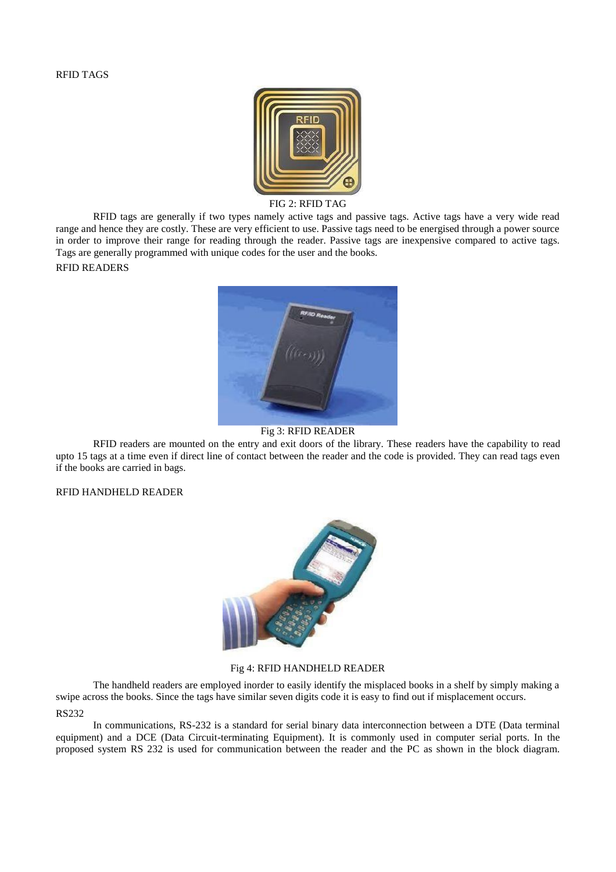

#### FIG 2: RFID TAG

RFID tags are generally if two types namely active tags and passive tags. Active tags have a very wide read range and hence they are costly. These are very efficient to use. Passive tags need to be energised through a power source in order to improve their range for reading through the reader. Passive tags are inexpensive compared to active tags. Tags are generally programmed with unique codes for the user and the books.

### RFID READERS



### Fig 3: RFID READER

RFID readers are mounted on the entry and exit doors of the library. These readers have the capability to read upto 15 tags at a time even if direct line of contact between the reader and the code is provided. They can read tags even if the books are carried in bags.

## RFID HANDHELD READER



#### Fig 4: RFID HANDHELD READER

The handheld readers are employed inorder to easily identify the misplaced books in a shelf by simply making a swipe across the books. Since the tags have similar seven digits code it is easy to find out if misplacement occurs. RS232

In communications, RS-232 is a standard for serial binary data interconnection between a DTE (Data terminal equipment) and a DCE (Data Circuit-terminating Equipment). It is commonly used in computer serial ports. In the proposed system RS 232 is used for communication between the reader and the PC as shown in the block diagram.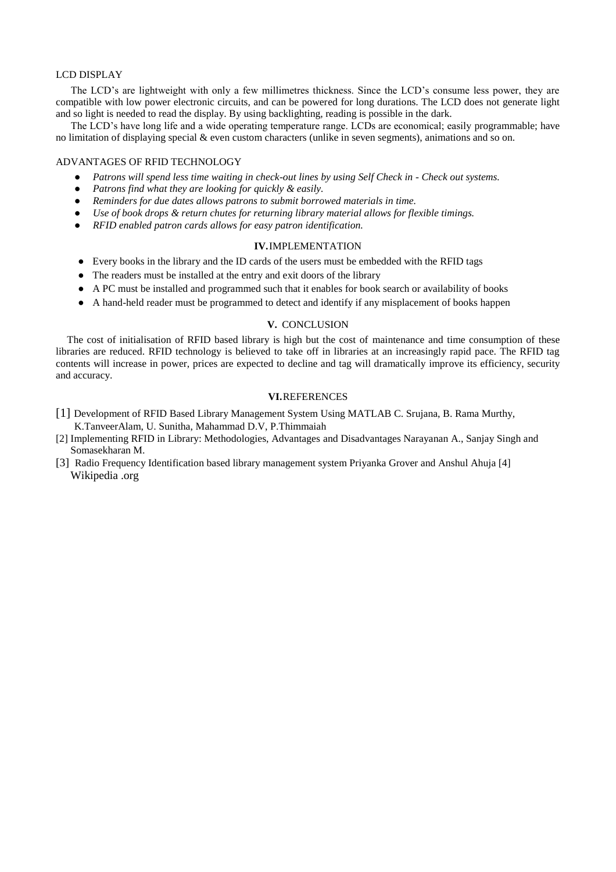#### LCD DISPLAY

The LCD's are lightweight with only a few millimetres thickness. Since the LCD's consume less power, they are compatible with low power electronic circuits, and can be powered for long durations. The LCD does not generate light and so light is needed to read the display. By using backlighting, reading is possible in the dark.

The LCD's have long life and a wide operating temperature range. LCDs are economical; easily programmable; have no limitation of displaying special & even custom characters (unlike in seven segments), animations and so on.

#### ADVANTAGES OF RFID TECHNOLOGY

- *Patrons will spend less time waiting in check-out lines by using Self Check in - Check out systems.*
- Patrons find what they are looking for quickly & easily.
- Reminders for due dates allows patrons to submit borrowed materials in time.
- *Use of book drops & return chutes for returning library material allows for flexible timings.*
- *RFID enabled patron cards allows for easy patron identification.*

#### **IV.**IMPLEMENTATION

- Every books in the library and the ID cards of the users must be embedded with the RFID tags
- The readers must be installed at the entry and exit doors of the library
- A PC must be installed and programmed such that it enables for book search or availability of books
- A hand-held reader must be programmed to detect and identify if any misplacement of books happen

#### **V.** CONCLUSION

The cost of initialisation of RFID based library is high but the cost of maintenance and time consumption of these libraries are reduced. RFID technology is believed to take off in libraries at an increasingly rapid pace. The RFID tag contents will increase in power, prices are expected to decline and tag will dramatically improve its efficiency, security and accuracy.

#### **VI.**REFERENCES

- [1] Development of RFID Based Library Management System Using MATLAB C. Srujana, B. Rama Murthy, K.TanveerAlam, U. Sunitha, Mahammad D.V, P.Thimmaiah
- [2] Implementing RFID in Library: Methodologies, Advantages and Disadvantages Narayanan A., Sanjay Singh and Somasekharan M.
- [3] Radio Frequency Identification based library management system Priyanka Grover and Anshul Ahuja [4] Wikipedia .org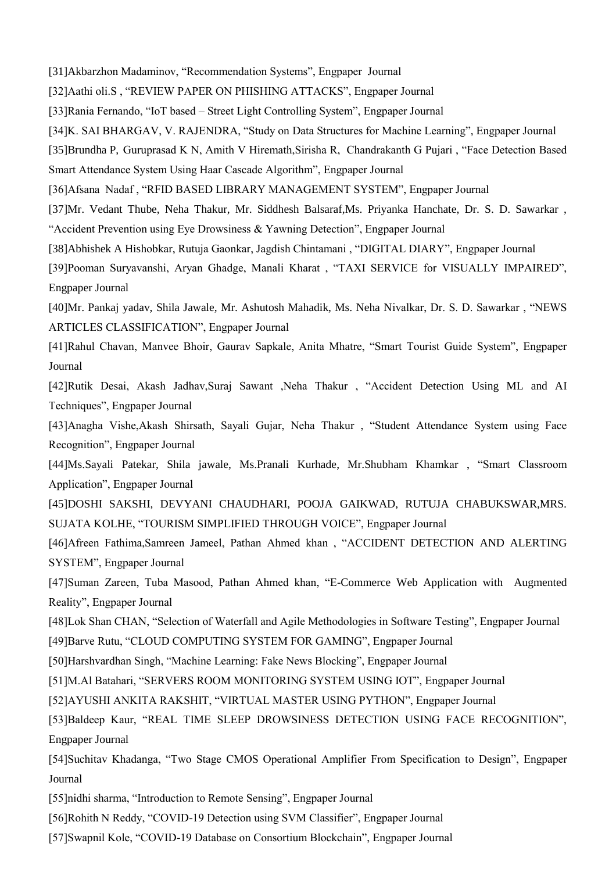[31]Akbarzhon Madaminov, "Recommendation Systems", Engpaper Journal

[32]Aathi oli.S , "REVIEW PAPER ON PHISHING ATTACKS", Engpaper Journal

[33]Rania Fernando, "IoT based – Street Light Controlling System", Engpaper Journal

[34]K. SAI BHARGAV, V. RAJENDRA, "Study on Data Structures for Machine Learning", Engpaper Journal

[35]Brundha P, Guruprasad K N, Amith V Hiremath,Sirisha R, Chandrakanth G Pujari , "Face Detection Based Smart Attendance System Using Haar Cascade Algorithm", Engpaper Journal

[36]Afsana Nadaf , "RFID BASED LIBRARY MANAGEMENT SYSTEM", Engpaper Journal

[37]Mr. Vedant Thube, Neha Thakur, Mr. Siddhesh Balsaraf,Ms. Priyanka Hanchate, Dr. S. D. Sawarkar , "Accident Prevention using Eye Drowsiness & Yawning Detection", Engpaper Journal

[38]Abhishek A Hishobkar, Rutuja Gaonkar, Jagdish Chintamani , "DIGITAL DIARY", Engpaper Journal

[39]Pooman Suryavanshi, Aryan Ghadge, Manali Kharat , "TAXI SERVICE for VISUALLY IMPAIRED", Engpaper Journal

[40]Mr. Pankaj yadav, Shila Jawale, Mr. Ashutosh Mahadik, Ms. Neha Nivalkar, Dr. S. D. Sawarkar , "NEWS ARTICLES CLASSIFICATION", Engpaper Journal

[41]Rahul Chavan, Manvee Bhoir, Gaurav Sapkale, Anita Mhatre, "Smart Tourist Guide System", Engpaper Journal

[42]Rutik Desai, Akash Jadhav,Suraj Sawant ,Neha Thakur , "Accident Detection Using ML and AI Techniques", Engpaper Journal

[43]Anagha Vishe,Akash Shirsath, Sayali Gujar, Neha Thakur , "Student Attendance System using Face Recognition", Engpaper Journal

[44]Ms.Sayali Patekar, Shila jawale, Ms.Pranali Kurhade, Mr.Shubham Khamkar , "Smart Classroom Application", Engpaper Journal

[45]DOSHI SAKSHI, DEVYANI CHAUDHARI, POOJA GAIKWAD, RUTUJA CHABUKSWAR,MRS. SUJATA KOLHE, "TOURISM SIMPLIFIED THROUGH VOICE", Engpaper Journal

[46]Afreen Fathima,Samreen Jameel, Pathan Ahmed khan , "ACCIDENT DETECTION AND ALERTING SYSTEM", Engpaper Journal

[47]Suman Zareen, Tuba Masood, Pathan Ahmed khan, "E-Commerce Web Application with Augmented Reality", Engpaper Journal

[48]Lok Shan CHAN, "Selection of Waterfall and Agile Methodologies in Software Testing", Engpaper Journal [49]Barve Rutu, "CLOUD COMPUTING SYSTEM FOR GAMING", Engpaper Journal

[50]Harshvardhan Singh, "Machine Learning: Fake News Blocking", Engpaper Journal

[51]M.Al Batahari, "SERVERS ROOM MONITORING SYSTEM USING IOT", Engpaper Journal

[52]AYUSHI ANKITA RAKSHIT, "VIRTUAL MASTER USING PYTHON", Engpaper Journal

[53]Baldeep Kaur, "REAL TIME SLEEP DROWSINESS DETECTION USING FACE RECOGNITION", Engpaper Journal

[54]Suchitav Khadanga, "Two Stage CMOS Operational Amplifier From Specification to Design", Engpaper Journal

[55]nidhi sharma, "Introduction to Remote Sensing", Engpaper Journal

[56]Rohith N Reddy, "COVID-19 Detection using SVM Classifier", Engpaper Journal

[57]Swapnil Kole, "COVID-19 Database on Consortium Blockchain", Engpaper Journal